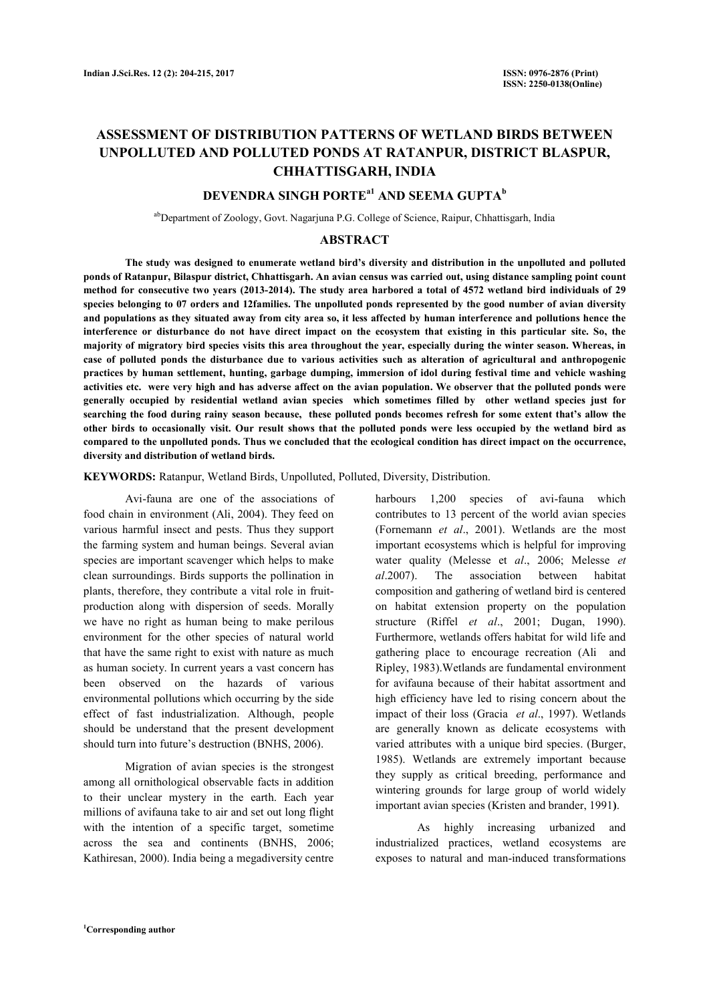# **ASSESSMENT OF DISTRIBUTION PATTERNS OF WETLAND BIRDS BETWEEN UNPOLLUTED AND POLLUTED PONDS AT RATANPUR, DISTRICT BLASPUR, CHHATTISGARH, INDIA**

## **DEVENDRA SINGH PORTEa1 AND SEEMA GUPTA<sup>b</sup>**

abDepartment of Zoology, Govt. Nagarjuna P.G. College of Science, Raipur, Chhattisgarh, India

## **ABSTRACT**

 **The study was designed to enumerate wetland bird's diversity and distribution in the unpolluted and polluted ponds of Ratanpur, Bilaspur district, Chhattisgarh. An avian census was carried out, using distance sampling point count method for consecutive two years (2013-2014). The study area harbored a total of 4572 wetland bird individuals of 29 species belonging to 07 orders and 12families. The unpolluted ponds represented by the good number of avian diversity and populations as they situated away from city area so, it less affected by human interference and pollutions hence the interference or disturbance do not have direct impact on the ecosystem that existing in this particular site. So, the majority of migratory bird species visits this area throughout the year, especially during the winter season. Whereas, in case of polluted ponds the disturbance due to various activities such as alteration of agricultural and anthropogenic practices by human settlement, hunting, garbage dumping, immersion of idol during festival time and vehicle washing activities etc. were very high and has adverse affect on the avian population. We observer that the polluted ponds were generally occupied by residential wetland avian species which sometimes filled by other wetland species just for searching the food during rainy season because, these polluted ponds becomes refresh for some extent that's allow the other birds to occasionally visit. Our result shows that the polluted ponds were less occupied by the wetland bird as compared to the unpolluted ponds. Thus we concluded that the ecological condition has direct impact on the occurrence, diversity and distribution of wetland birds.**

**KEYWORDS:** Ratanpur, Wetland Birds, Unpolluted, Polluted, Diversity, Distribution.

 Avi-fauna are one of the associations of food chain in environment (Ali, 2004). They feed on various harmful insect and pests. Thus they support the farming system and human beings. Several avian species are important scavenger which helps to make clean surroundings. Birds supports the pollination in plants, therefore, they contribute a vital role in fruitproduction along with dispersion of seeds. Morally we have no right as human being to make perilous environment for the other species of natural world that have the same right to exist with nature as much as human society. In current years a vast concern has been observed on the hazards of various environmental pollutions which occurring by the side effect of fast industrialization. Although, people should be understand that the present development should turn into future's destruction (BNHS, 2006).

 Migration of avian species is the strongest among all ornithological observable facts in addition to their unclear mystery in the earth. Each year millions of avifauna take to air and set out long flight with the intention of a specific target, sometime across the sea and continents (BNHS, 2006; Kathiresan, 2000). India being a megadiversity centre

harbours 1,200 species of avi-fauna which contributes to 13 percent of the world avian species (Fornemann *et al*., 2001). Wetlands are the most important ecosystems which is helpful for improving water quality (Melesse et *al*., 2006; Melesse *et al*.2007). The association between habitat composition and gathering of wetland bird is centered on habitat extension property on the population structure (Riffel *et al*., 2001; Dugan, 1990). Furthermore, wetlands offers habitat for wild life and gathering place to encourage recreation (Ali and Ripley, 1983).Wetlands are fundamental environment for avifauna because of their habitat assortment and high efficiency have led to rising concern about the impact of their loss (Gracia *et al*., 1997). Wetlands are generally known as delicate ecosystems with varied attributes with a unique bird species. (Burger, 1985). Wetlands are extremely important because they supply as critical breeding, performance and wintering grounds for large group of world widely important avian species (Kristen and brander, 1991**)**.

 As highly increasing urbanized and industrialized practices, wetland ecosystems are exposes to natural and man-induced transformations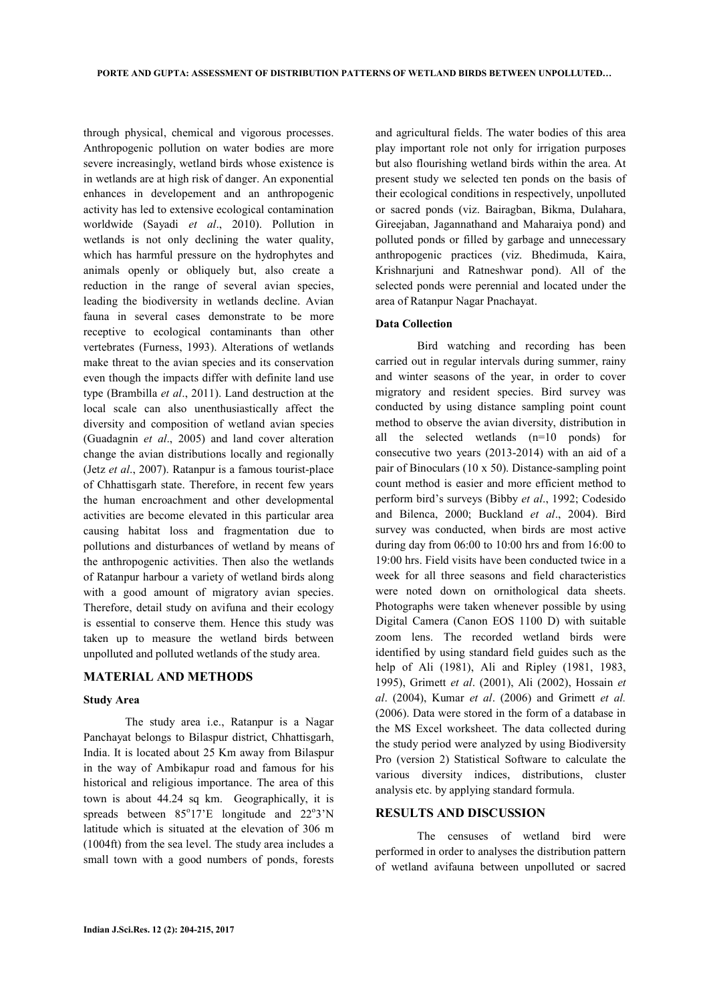through physical, chemical and vigorous processes. Anthropogenic pollution on water bodies are more severe increasingly, wetland birds whose existence is in wetlands are at high risk of danger. An exponential enhances in developement and an anthropogenic activity has led to extensive ecological contamination worldwide (Sayadi *et al*., 2010). Pollution in wetlands is not only declining the water quality, which has harmful pressure on the hydrophytes and animals openly or obliquely but, also create a reduction in the range of several avian species, leading the biodiversity in wetlands decline. Avian fauna in several cases demonstrate to be more receptive to ecological contaminants than other vertebrates (Furness, 1993). Alterations of wetlands make threat to the avian species and its conservation even though the impacts differ with definite land use type (Brambilla *et al*., 2011). Land destruction at the local scale can also unenthusiastically affect the diversity and composition of wetland avian species (Guadagnin *et al*., 2005) and land cover alteration change the avian distributions locally and regionally (Jetz *et al*., 2007). Ratanpur is a famous tourist-place of Chhattisgarh state. Therefore, in recent few years the human encroachment and other developmental activities are become elevated in this particular area causing habitat loss and fragmentation due to pollutions and disturbances of wetland by means of the anthropogenic activities. Then also the wetlands of Ratanpur harbour a variety of wetland birds along with a good amount of migratory avian species. Therefore, detail study on avifuna and their ecology is essential to conserve them. Hence this study was taken up to measure the wetland birds between unpolluted and polluted wetlands of the study area.

## **MATERIAL AND METHODS**

#### **Study Area**

 The study area i.e., Ratanpur is a Nagar Panchayat belongs to Bilaspur district, Chhattisgarh, India. It is located about 25 Km away from Bilaspur in the way of Ambikapur road and famous for his historical and religious importance. The area of this town is about 44.24 sq km. Geographically, it is spreads between  $85^{\circ}17'E$  longitude and  $22^{\circ}3'N$ latitude which is situated at the elevation of 306 m (1004ft) from the sea level. The study area includes a small town with a good numbers of ponds, forests and agricultural fields. The water bodies of this area play important role not only for irrigation purposes but also flourishing wetland birds within the area. At present study we selected ten ponds on the basis of their ecological conditions in respectively, unpolluted or sacred ponds (viz. Bairagban, Bikma, Dulahara, Gireejaban, Jagannathand and Maharaiya pond) and polluted ponds or filled by garbage and unnecessary anthropogenic practices (viz. Bhedimuda, Kaira, Krishnariuni and Ratneshwar pond). All of the selected ponds were perennial and located under the area of Ratanpur Nagar Pnachayat.

#### **Data Collection**

 Bird watching and recording has been carried out in regular intervals during summer, rainy and winter seasons of the year, in order to cover migratory and resident species. Bird survey was conducted by using distance sampling point count method to observe the avian diversity, distribution in all the selected wetlands (n=10 ponds) for consecutive two years (2013-2014) with an aid of a pair of Binoculars (10 x 50). Distance-sampling point count method is easier and more efficient method to perform bird's surveys (Bibby *et al*., 1992; Codesido and Bilenca, 2000; Buckland *et al*., 2004). Bird survey was conducted, when birds are most active during day from 06:00 to 10:00 hrs and from 16:00 to 19:00 hrs. Field visits have been conducted twice in a week for all three seasons and field characteristics were noted down on ornithological data sheets. Photographs were taken whenever possible by using Digital Camera (Canon EOS 1100 D) with suitable zoom lens. The recorded wetland birds were identified by using standard field guides such as the help of Ali (1981), Ali and Ripley (1981, 1983, 1995), Grimett *et al*. (2001), Ali (2002), Hossain *et al*. (2004), Kumar *et al*. (2006) and Grimett *et al.* (2006). Data were stored in the form of a database in the MS Excel worksheet. The data collected during the study period were analyzed by using Biodiversity Pro (version 2) Statistical Software to calculate the various diversity indices, distributions, cluster analysis etc. by applying standard formula.

## **RESULTS AND DISCUSSION**

 The censuses of wetland bird were performed in order to analyses the distribution pattern of wetland avifauna between unpolluted or sacred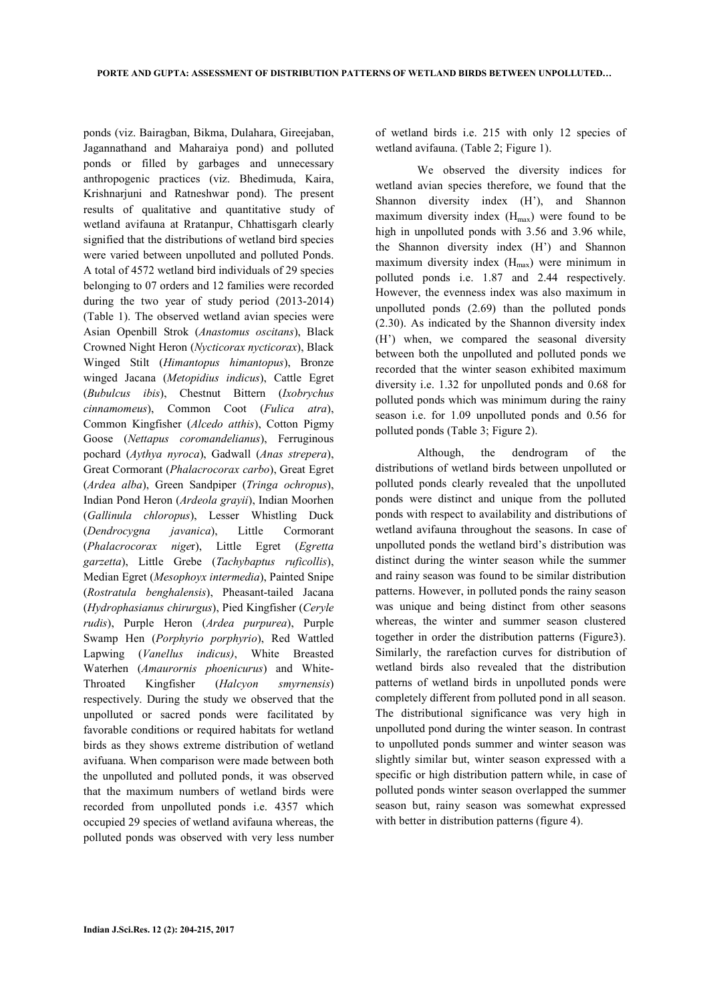ponds (viz. Bairagban, Bikma, Dulahara, Gireejaban, Jagannathand and Maharaiya pond) and polluted ponds or filled by garbages and unnecessary anthropogenic practices (viz. Bhedimuda, Kaira, Krishnarjuni and Ratneshwar pond). The present results of qualitative and quantitative study of wetland avifauna at Rratanpur, Chhattisgarh clearly signified that the distributions of wetland bird species were varied between unpolluted and polluted Ponds. A total of 4572 wetland bird individuals of 29 species belonging to 07 orders and 12 families were recorded during the two year of study period (2013-2014) (Table 1). The observed wetland avian species were Asian Openbill Strok (*Anastomus oscitans*), Black Crowned Night Heron (*Nycticorax nycticorax*), Black Winged Stilt (*Himantopus himantopus*), Bronze winged Jacana (*Metopidius indicus*), Cattle Egret (*Bubulcus ibis*), Chestnut Bittern (*Ixobrychus cinnamomeus*), Common Coot (*Fulica atra*), Common Kingfisher (*Alcedo atthis*), Cotton Pigmy Goose (*Nettapus coromandelianus*), Ferruginous pochard (*Aythya nyroca*), Gadwall (*Anas strepera*), Great Cormorant (*Phalacrocorax carbo*), Great Egret (*Ardea alba*), Green Sandpiper (*Tringa ochropus*), Indian Pond Heron (*Ardeola grayii*), Indian Moorhen (*Gallinula chloropus*), Lesser Whistling Duck (*Dendrocygna javanica*), Little Cormorant (*Phalacrocorax nige*r), Little Egret (*Egretta garzetta*), Little Grebe (*Tachybaptus ruficollis*), Median Egret (*Mesophoyx intermedia*), Painted Snipe (*Rostratula benghalensis*), Pheasant-tailed Jacana (*Hydrophasianus chirurgus*), Pied Kingfisher (*Ceryle rudis*), Purple Heron (*Ardea purpurea*), Purple Swamp Hen (*Porphyrio porphyrio*), Red Wattled Lapwing (*Vanellus indicus)*, White Breasted Waterhen (*Amaurornis phoenicurus*) and White-Throated Kingfisher (*Halcyon smyrnensis*) respectively. During the study we observed that the unpolluted or sacred ponds were facilitated by favorable conditions or required habitats for wetland birds as they shows extreme distribution of wetland avifuana. When comparison were made between both the unpolluted and polluted ponds, it was observed that the maximum numbers of wetland birds were recorded from unpolluted ponds i.e. 4357 which occupied 29 species of wetland avifauna whereas, the polluted ponds was observed with very less number of wetland birds i.e. 215 with only 12 species of wetland avifauna. (Table 2; Figure 1).

 We observed the diversity indices for wetland avian species therefore, we found that the Shannon diversity index (H'), and Shannon maximum diversity index  $(H<sub>max</sub>)$  were found to be high in unpolluted ponds with 3.56 and 3.96 while, the Shannon diversity index (H') and Shannon maximum diversity index  $(H<sub>max</sub>)$  were minimum in polluted ponds i.e. 1.87 and 2.44 respectively. However, the evenness index was also maximum in unpolluted ponds (2.69) than the polluted ponds (2.30). As indicated by the Shannon diversity index (H') when, we compared the seasonal diversity between both the unpolluted and polluted ponds we recorded that the winter season exhibited maximum diversity i.e. 1.32 for unpolluted ponds and 0.68 for polluted ponds which was minimum during the rainy season i.e. for 1.09 unpolluted ponds and 0.56 for polluted ponds (Table 3; Figure 2).

 Although, the dendrogram of the distributions of wetland birds between unpolluted or polluted ponds clearly revealed that the unpolluted ponds were distinct and unique from the polluted ponds with respect to availability and distributions of wetland avifauna throughout the seasons. In case of unpolluted ponds the wetland bird's distribution was distinct during the winter season while the summer and rainy season was found to be similar distribution patterns. However, in polluted ponds the rainy season was unique and being distinct from other seasons whereas, the winter and summer season clustered together in order the distribution patterns (Figure3). Similarly, the rarefaction curves for distribution of wetland birds also revealed that the distribution patterns of wetland birds in unpolluted ponds were completely different from polluted pond in all season. The distributional significance was very high in unpolluted pond during the winter season. In contrast to unpolluted ponds summer and winter season was slightly similar but, winter season expressed with a specific or high distribution pattern while, in case of polluted ponds winter season overlapped the summer season but, rainy season was somewhat expressed with better in distribution patterns (figure 4).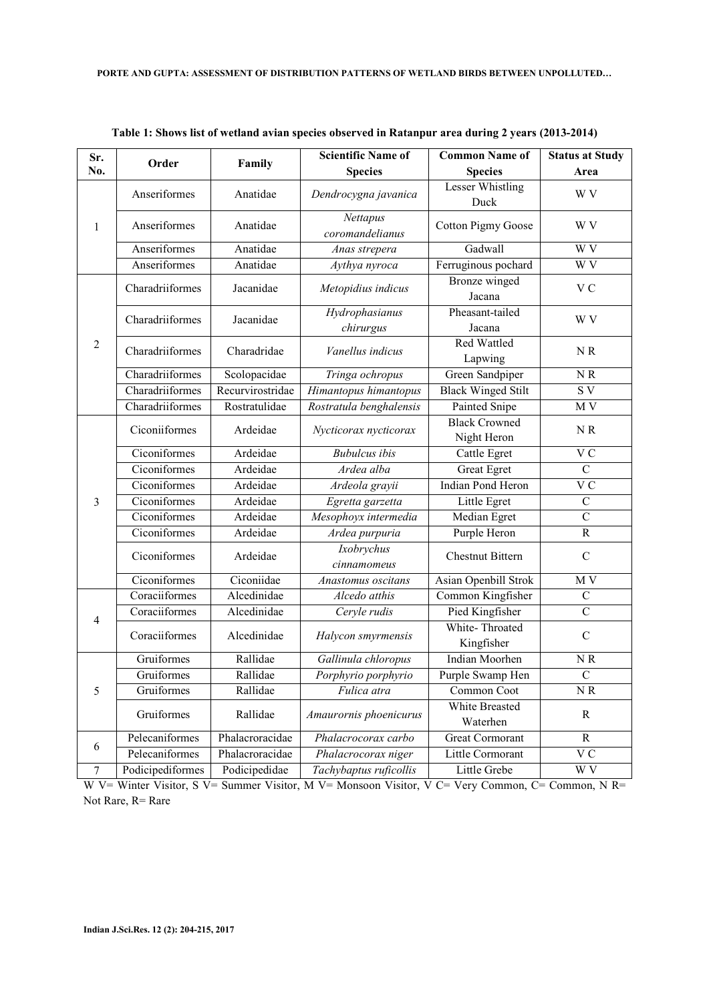| Sr.              | Order            | Family           | <b>Scientific Name of</b>   | <b>Common Name of</b>               | <b>Status at Study</b> |
|------------------|------------------|------------------|-----------------------------|-------------------------------------|------------------------|
| No.              |                  |                  | <b>Species</b>              | <b>Species</b>                      | Area                   |
|                  | Anseriformes     | Anatidae         | Dendrocygna javanica        | <b>Lesser Whistling</b><br>Duck     | W V                    |
| 1                | Anseriformes     | Anatidae         | Nettapus<br>coromandelianus | <b>Cotton Pigmy Goose</b>           | W V                    |
|                  | Anseriformes     | Anatidae         | Anas strepera               | Gadwall                             | W <sub>V</sub>         |
|                  | Anseriformes     | Anatidae         | Aythya nyroca               | Ferruginous pochard                 | W <sub>V</sub>         |
| $\overline{2}$   | Charadriiformes  | Jacanidae        | Metopidius indicus          | Bronze winged<br>Jacana             | V <sub>C</sub>         |
|                  | Charadriiformes  | Jacanidae        | Hydrophasianus<br>chirurgus | Pheasant-tailed<br>Jacana           | W V                    |
|                  | Charadriiformes  | Charadridae      | Vanellus indicus            | <b>Red Wattled</b><br>Lapwing       | NR                     |
|                  | Charadriiformes  | Scolopacidae     | Tringa ochropus             | Green Sandpiper                     | $N\,R$                 |
|                  | Charadriiformes  | Recurvirostridae | Himantopus himantopus       | <b>Black Winged Stilt</b>           | $\rm S~V$              |
|                  | Charadriiformes  | Rostratulidae    | Rostratula benghalensis     | Painted Snipe                       | M V                    |
| 3                | Ciconiiformes    | Ardeidae         | Nycticorax nycticorax       | <b>Black Crowned</b><br>Night Heron | NR                     |
|                  | Ciconiformes     | Ardeidae         | <b>Bubulcus</b> ibis        | Cattle Egret                        | $\overline{V}C$        |
|                  | Ciconiformes     | Ardeidae         | Ardea alba                  | Great Egret                         | $\mathbf C$            |
|                  | Ciconiformes     | Ardeidae         | Ardeola grayii              | <b>Indian Pond Heron</b>            | $\overline{V}C$        |
|                  | Ciconiformes     | Ardeidae         | Egretta garzetta            | Little Egret                        | $\overline{C}$         |
|                  | Ciconiformes     | Ardeidae         | Mesophoyx intermedia        | Median Egret                        | $\mathcal{C}$          |
|                  | Ciconiformes     | Ardeidae         | Ardea purpuria              | Purple Heron                        | $\overline{R}$         |
|                  | Ciconiformes     | Ardeidae         | Ixobrychus<br>cinnamomeus   | <b>Chestnut Bittern</b>             | $\mathcal{C}$          |
|                  | Ciconiformes     | Ciconiidae       | Anastomus oscitans          | Asian Openbill Strok                | M <sub>V</sub>         |
|                  | Coraciiformes    | Alcedinidae      | Alcedo atthis               | Common Kingfisher                   | $\mathcal{C}$          |
| $\overline{4}$   | Coraciiformes    | Alcedinidae      | Ceryle rudis                | Pied Kingfisher                     | $\mathcal{C}$          |
|                  | Coraciiformes    | Alcedinidae      | Halycon smyrmensis          | White-Throated<br>Kingfisher        | $\mathcal{C}$          |
|                  | Gruiformes       | Rallidae         | Gallinula chloropus         | Indian Moorhen                      | N R                    |
|                  | Gruiformes       | Rallidae         | Porphyrio porphyrio         | Purple Swamp Hen                    | $\mathbf C$            |
| 5                | Gruiformes       | Rallidae         | Fulica atra                 | Common Coot                         | $\rm N~R$              |
|                  | Gruiformes       | Rallidae         | Amaurornis phoenicurus      | White Breasted<br>Waterhen          | $\mathbf R$            |
|                  | Pelecaniformes   | Phalacroracidae  | Phalacrocorax carbo         | Great Cormorant                     | $\mathbf R$            |
| 6                | Pelecaniformes   | Phalacroracidae  | Phalacrocorax niger         | Little Cormorant                    | V <sub>C</sub>         |
| $\boldsymbol{7}$ | Podicipediformes | Podicipedidae    | Tachybaptus ruficollis      | Little Grebe                        | W V                    |

**Table 1: Shows list of wetland avian species observed in Ratanpur area during 2 years (2013-2014)** 

W V= Winter Visitor, S V= Summer Visitor, M V= Monsoon Visitor, V C= Very Common, C= Common, N R= Not Rare, R= Rare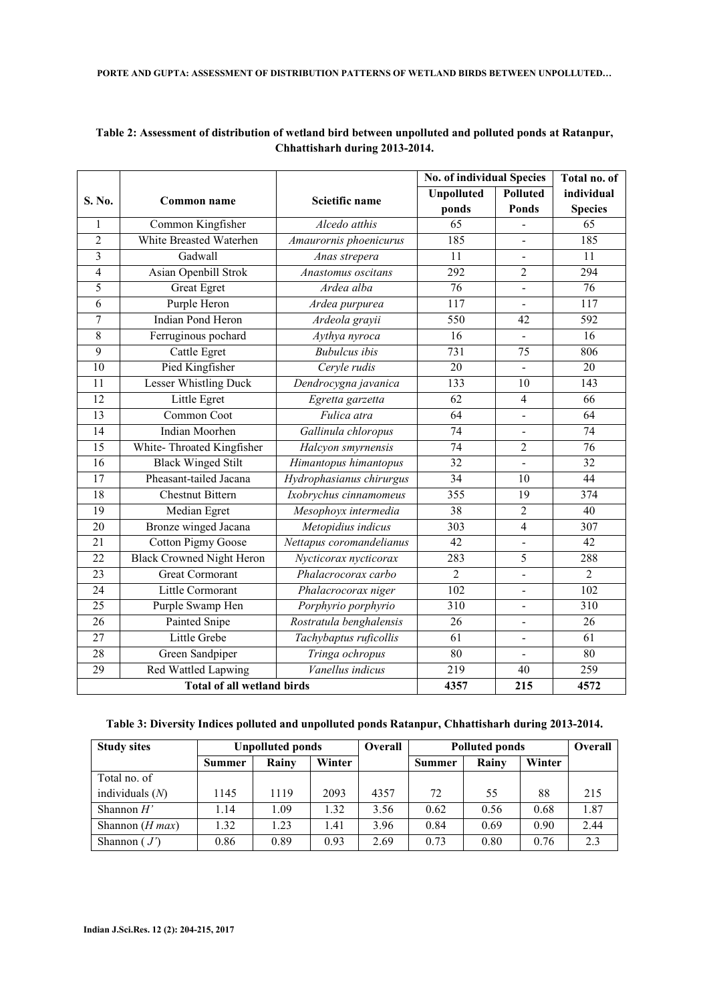|                         |                                  |                                                  | <b>No. of individual Species</b> | Total no. of             |                  |
|-------------------------|----------------------------------|--------------------------------------------------|----------------------------------|--------------------------|------------------|
| S. No.                  | <b>Common name</b>               | Scietific name                                   | <b>Unpolluted</b>                | <b>Polluted</b>          | individual       |
|                         |                                  |                                                  | ponds                            | <b>Ponds</b>             | <b>Species</b>   |
| 1                       | Common Kingfisher                | Alcedo atthis                                    | $\overline{65}$                  |                          | 65               |
| $\overline{2}$          | White Breasted Waterhen          | Amaurornis phoenicurus                           | 185                              | $\blacksquare$           | 185              |
| $\overline{\mathbf{3}}$ | Gadwall                          | Anas strepera                                    | 11                               | $\frac{1}{2}$            | 11               |
| $\overline{4}$          | Asian Openbill Strok             | Anastomus oscitans                               | 292                              | $\overline{2}$           | 294              |
| 5                       | <b>Great Egret</b>               | Ardea alba                                       | $\overline{76}$                  |                          | $\overline{76}$  |
| 6                       | Purple Heron                     | Ardea purpurea                                   | 117                              |                          | 117              |
| 7                       | <b>Indian Pond Heron</b>         | Ardeola grayii                                   | 550                              | 42                       | 592              |
| 8                       | Ferruginous pochard              | Aythya nyroca                                    | 16                               | $\overline{a}$           | $\overline{16}$  |
| 9                       | Cattle Egret                     | <b>Bubulcus</b> ibis                             | 731                              | 75                       | 806              |
| $\overline{10}$         | Pied Kingfisher                  | Ceryle rudis                                     | $\overline{20}$                  | $\blacksquare$           | 20               |
| 11                      | <b>Lesser Whistling Duck</b>     | Dendrocygna javanica                             | $\overline{133}$                 | 10                       | 143              |
| $\overline{12}$         | Little Egret                     | Egretta garzetta                                 | $\overline{62}$                  | $\overline{4}$           | 66               |
| 13                      | Common Coot                      | Fulica atra                                      | $\overline{64}$                  |                          | 64               |
| 14                      | Indian Moorhen                   | Gallinula chloropus                              | 74                               |                          | 74               |
| $\overline{15}$         | White-Throated Kingfisher        | Halcyon smyrnensis                               | $\overline{74}$                  | $\overline{2}$           | $\overline{76}$  |
| 16                      | <b>Black Winged Stilt</b>        | Himantopus himantopus                            | $\overline{32}$                  |                          | 32               |
| 17                      | Pheasant-tailed Jacana           | Hydrophasianus chirurgus                         | 34                               | 10                       | 44               |
| 18                      | <b>Chestnut Bittern</b>          | Ixobrychus cinnamomeus                           | 355                              | 19                       | 374              |
| $\overline{19}$         | Median Egret                     | Mesophoyx intermedia                             | $\overline{38}$                  | $\overline{2}$           | 40               |
| $\overline{20}$         | <b>Bronze</b> winged Jacana      | Metopidius indicus                               | $\overline{303}$                 | $\overline{4}$           | $\overline{307}$ |
| 21                      | <b>Cotton Pigmy Goose</b>        | Nettapus coromandelianus                         | 42                               | $\blacksquare$           | 42               |
| $\overline{22}$         | <b>Black Crowned Night Heron</b> | Nycticorax nycticorax                            | 283                              | 5                        | 288              |
| $\overline{23}$         | <b>Great Cormorant</b>           | Phalacrocorax carbo                              | $\overline{2}$                   |                          | $\overline{2}$   |
| $\overline{24}$         | Little Cormorant                 | Phalacrocorax niger                              | $\overline{102}$                 | $\overline{\phantom{a}}$ | $\overline{102}$ |
| 25                      | Purple Swamp Hen                 | Porphyrio porphyrio                              | 310                              |                          | 310              |
| $\overline{26}$         | <b>Painted Snipe</b>             | Rostratula benghalensis                          | $\overline{26}$                  | $\blacksquare$           | 26               |
| 27                      | Little Grebe                     | Tachybaptus ruficollis                           | 61                               |                          | 61               |
| 28                      | Green Sandpiper                  | Tringa ochropus                                  | 80                               | $\blacksquare$           | 80               |
| $\overline{29}$         | <b>Red Wattled Lapwing</b>       | Vanellus indicus                                 | 219                              | 40                       | 259              |
|                         |                                  | <b>Total of all wetland birds</b><br>215<br>4357 |                                  |                          |                  |

## **Table 2: Assessment of distribution of wetland bird between unpolluted and polluted ponds at Ratanpur, Chhattisharh during 2013-2014.**

|  |  |  |  | .103-101- Table 3: Diversity Indices polluted and unpolluted ponds Ratanpur, Chhattisharh during 2013 |
|--|--|--|--|-------------------------------------------------------------------------------------------------------|
|--|--|--|--|-------------------------------------------------------------------------------------------------------|

| <b>Study sites</b> | <b>Unpolluted ponds</b> |       |        | <b>Overall</b> | <b>Polluted ponds</b> |       |        | Overall |
|--------------------|-------------------------|-------|--------|----------------|-----------------------|-------|--------|---------|
|                    | Summer                  | Rainy | Winter |                | <b>Summer</b>         | Rainy | Winter |         |
| Total no. of       |                         |       |        |                |                       |       |        |         |
| individuals $(N)$  | 1145                    | 1119  | 2093   | 4357           | 72                    | 55    | 88     | 215     |
| Shannon $H'$       | 1.14                    | 1.09  | 1.32   | 3.56           | 0.62                  | 0.56  | 0.68   | 1.87    |
| Shannon $(H$ max)  | 1.32                    | 1.23  | 1.41   | 3.96           | 0.84                  | 0.69  | 0.90   | 2.44    |
| Shannon $(J')$     | 0.86                    | 0.89  | 0.93   | 2.69           | 0.73                  | 0.80  | 0.76   | 2.3     |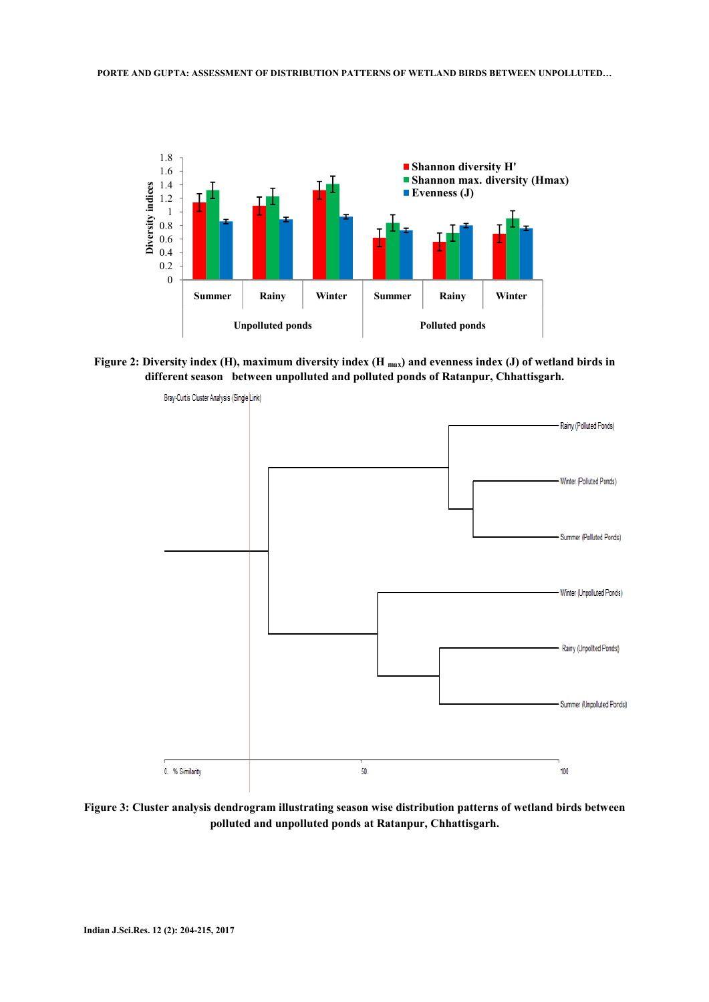

**Figure 2: Diversity index (H), maximum diversity index (H max) and evenness index (J) of wetland birds in different season between unpolluted and polluted ponds of Ratanpur, Chhattisgarh.**



**Figure 3: Cluster analysis dendrogram illustrating season wise distribution patterns of wetland birds between polluted and unpolluted ponds at Ratanpur, Chhattisgarh.**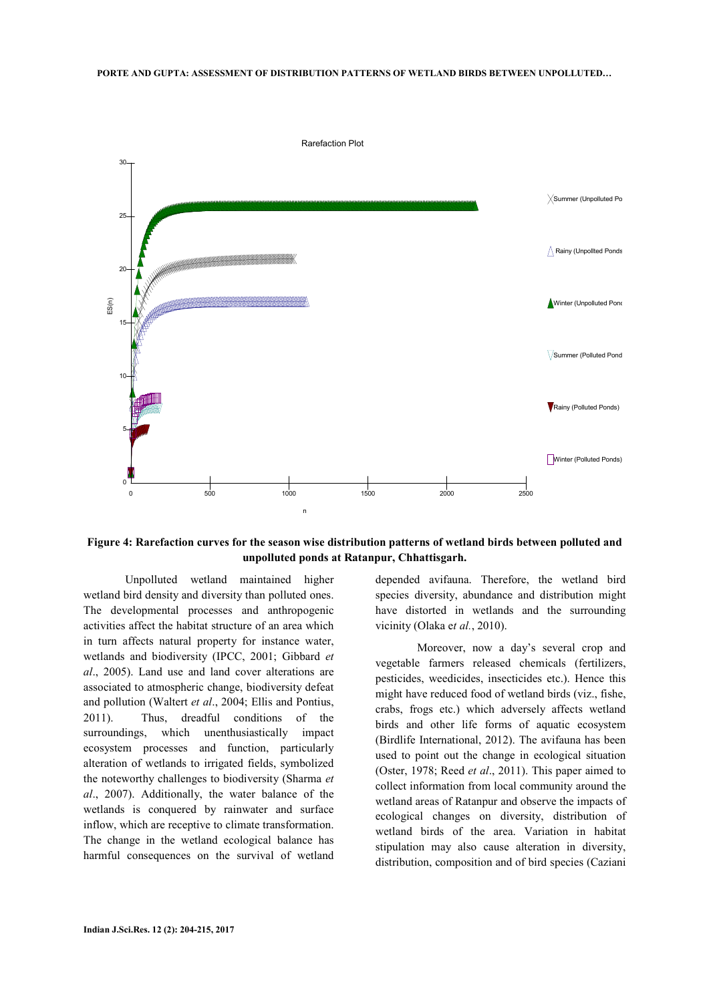

**Figure 4: Rarefaction curves for the season wise distribution patterns of wetland birds between polluted and unpolluted ponds at Ratanpur, Chhattisgarh.** 

 Unpolluted wetland maintained higher wetland bird density and diversity than polluted ones. The developmental processes and anthropogenic activities affect the habitat structure of an area which in turn affects natural property for instance water, wetlands and biodiversity (IPCC, 2001; Gibbard *et al*., 2005). Land use and land cover alterations are associated to atmospheric change, biodiversity defeat and pollution (Waltert *et al*., 2004; Ellis and Pontius, 2011). Thus, dreadful conditions of the surroundings, which unenthusiastically impact ecosystem processes and function, particularly alteration of wetlands to irrigated fields, symbolized the noteworthy challenges to biodiversity (Sharma *et al*., 2007). Additionally, the water balance of the wetlands is conquered by rainwater and surface inflow, which are receptive to climate transformation. The change in the wetland ecological balance has harmful consequences on the survival of wetland

depended avifauna. Therefore, the wetland bird species diversity, abundance and distribution might have distorted in wetlands and the surrounding vicinity (Olaka e*t al.*, 2010).

 Moreover, now a day's several crop and vegetable farmers released chemicals (fertilizers, pesticides, weedicides, insecticides etc.). Hence this might have reduced food of wetland birds (viz., fishe, crabs, frogs etc.) which adversely affects wetland birds and other life forms of aquatic ecosystem (Birdlife International, 2012). The avifauna has been used to point out the change in ecological situation (Oster, 1978; Reed *et al*., 2011). This paper aimed to collect information from local community around the wetland areas of Ratanpur and observe the impacts of ecological changes on diversity, distribution of wetland birds of the area. Variation in habitat stipulation may also cause alteration in diversity, distribution, composition and of bird species (Caziani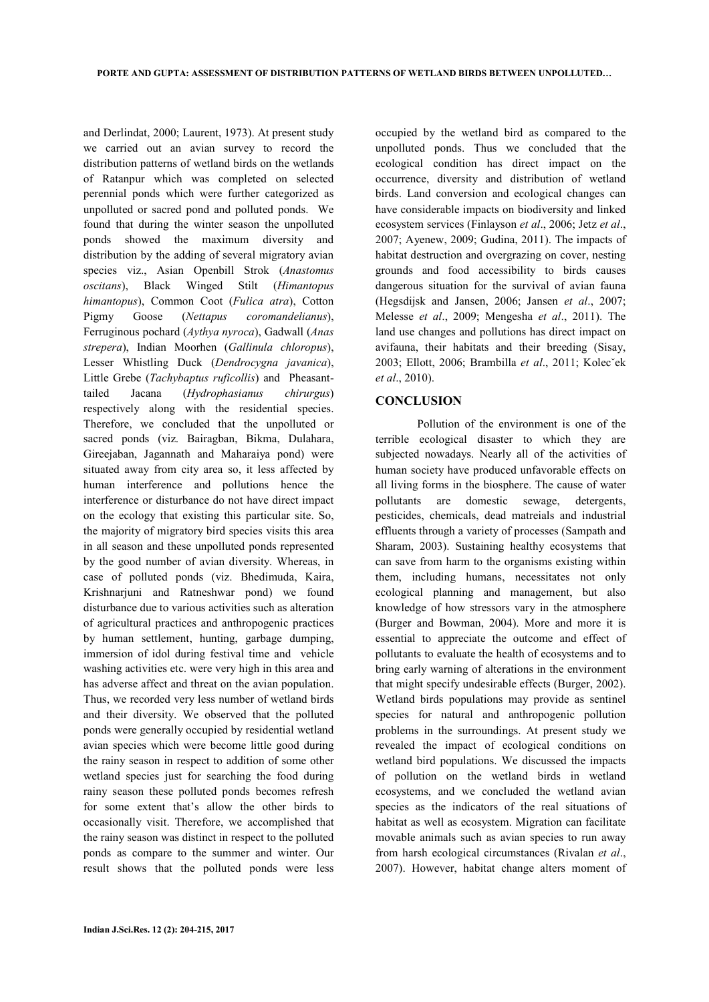and Derlindat, 2000; Laurent, 1973). At present study we carried out an avian survey to record the distribution patterns of wetland birds on the wetlands of Ratanpur which was completed on selected perennial ponds which were further categorized as unpolluted or sacred pond and polluted ponds. We found that during the winter season the unpolluted ponds showed the maximum diversity and distribution by the adding of several migratory avian species viz., Asian Openbill Strok (*Anastomus oscitans*), Black Winged Stilt (*Himantopus himantopus*), Common Coot (*Fulica atra*), Cotton Pigmy Goose (*Nettapus coromandelianus*), Ferruginous pochard (*Aythya nyroca*), Gadwall (*Anas strepera*), Indian Moorhen (*Gallinula chloropus*), Lesser Whistling Duck (*Dendrocygna javanica*), Little Grebe (*Tachybaptus ruficollis*) and Pheasanttailed Jacana (*Hydrophasianus chirurgus*) respectively along with the residential species. Therefore, we concluded that the unpolluted or sacred ponds (viz. Bairagban, Bikma, Dulahara, Gireejaban, Jagannath and Maharaiya pond) were situated away from city area so, it less affected by human interference and pollutions hence the interference or disturbance do not have direct impact on the ecology that existing this particular site. So, the majority of migratory bird species visits this area in all season and these unpolluted ponds represented by the good number of avian diversity. Whereas, in case of polluted ponds (viz. Bhedimuda, Kaira, Krishnarjuni and Ratneshwar pond) we found disturbance due to various activities such as alteration of agricultural practices and anthropogenic practices by human settlement, hunting, garbage dumping, immersion of idol during festival time and vehicle washing activities etc. were very high in this area and has adverse affect and threat on the avian population. Thus, we recorded very less number of wetland birds and their diversity. We observed that the polluted ponds were generally occupied by residential wetland avian species which were become little good during the rainy season in respect to addition of some other wetland species just for searching the food during rainy season these polluted ponds becomes refresh for some extent that's allow the other birds to occasionally visit. Therefore, we accomplished that the rainy season was distinct in respect to the polluted ponds as compare to the summer and winter. Our result shows that the polluted ponds were less

occupied by the wetland bird as compared to the unpolluted ponds. Thus we concluded that the ecological condition has direct impact on the occurrence, diversity and distribution of wetland birds. Land conversion and ecological changes can have considerable impacts on biodiversity and linked ecosystem services (Finlayson *et al*., 2006; Jetz *et al*., 2007; Ayenew, 2009; Gudina, 2011). The impacts of habitat destruction and overgrazing on cover, nesting grounds and food accessibility to birds causes dangerous situation for the survival of avian fauna (Hegsdijsk and Jansen, 2006; Jansen *et al*., 2007; Melesse *et al*., 2009; Mengesha *et al*., 2011). The land use changes and pollutions has direct impact on avifauna, their habitats and their breeding (Sisay, 2003; Ellott, 2006; Brambilla *et al*., 2011; Kolecˇek *et al*., 2010).

## **CONCLUSION**

 Pollution of the environment is one of the terrible ecological disaster to which they are subjected nowadays. Nearly all of the activities of human society have produced unfavorable effects on all living forms in the biosphere. The cause of water pollutants are domestic sewage, detergents, pesticides, chemicals, dead matreials and industrial effluents through a variety of processes (Sampath and Sharam, 2003). Sustaining healthy ecosystems that can save from harm to the organisms existing within them, including humans, necessitates not only ecological planning and management, but also knowledge of how stressors vary in the atmosphere (Burger and Bowman, 2004). More and more it is essential to appreciate the outcome and effect of pollutants to evaluate the health of ecosystems and to bring early warning of alterations in the environment that might specify undesirable effects (Burger, 2002). Wetland birds populations may provide as sentinel species for natural and anthropogenic pollution problems in the surroundings. At present study we revealed the impact of ecological conditions on wetland bird populations. We discussed the impacts of pollution on the wetland birds in wetland ecosystems, and we concluded the wetland avian species as the indicators of the real situations of habitat as well as ecosystem. Migration can facilitate movable animals such as avian species to run away from harsh ecological circumstances (Rivalan *et al*., 2007). However, habitat change alters moment of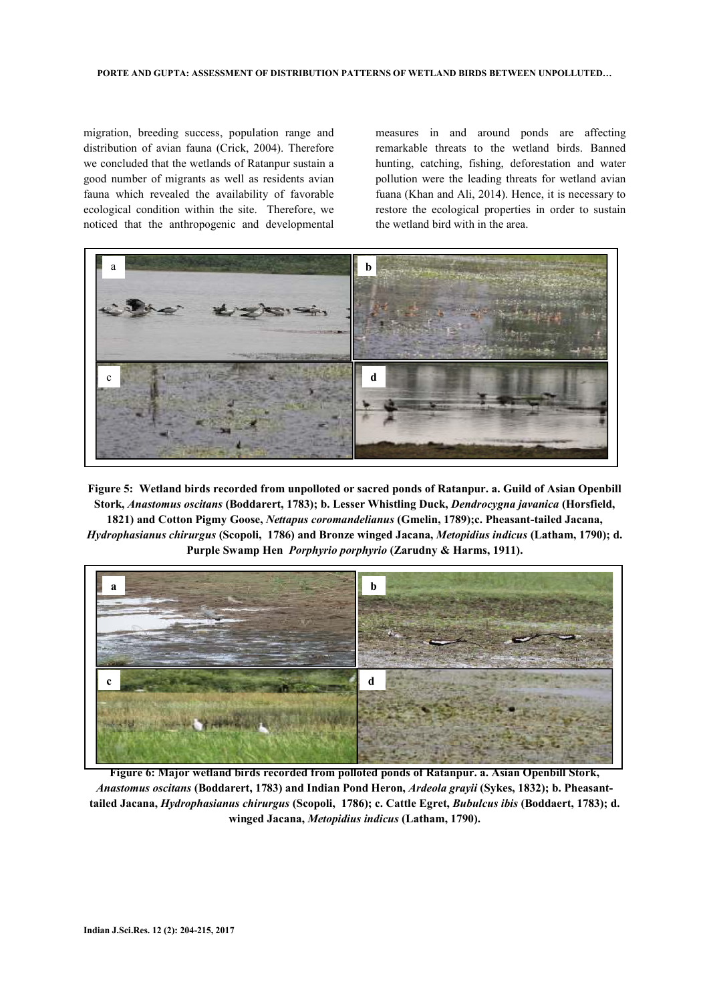migration, breeding success, population range and distribution of avian fauna (Crick, 2004). Therefore we concluded that the wetlands of Ratanpur sustain a good number of migrants as well as residents avian fauna which revealed the availability of favorable ecological condition within the site. Therefore, we noticed that the anthropogenic and developmental

measures in and around ponds are affecting remarkable threats to the wetland birds. Banned hunting, catching, fishing, deforestation and water pollution were the leading threats for wetland avian fuana (Khan and Ali, 2014). Hence, it is necessary to restore the ecological properties in order to sustain the wetland bird with in the area.



**Figure 5: Wetland birds recorded from unpolloted or sacred ponds of Ratanpur. a. Guild of Asian Openbill Stork,** *Anastomus oscitans* **(Boddarert, 1783); b. Lesser Whistling Duck,** *Dendrocygna javanica* **(Horsfield, 1821) and Cotton Pigmy Goose,** *Nettapus coromandelianus* **(Gmelin, 1789);c. Pheasant-tailed Jacana,** *Hydrophasianus chirurgus* **(Scopoli, 1786) and Bronze winged Jacana,** *Metopidius indicus* **(Latham, 1790); d. Purple Swamp Hen** *Porphyrio porphyrio* **(Zarudny & Harms, 1911).** 



**Figure 6: Major wetland birds recorded from polloted ponds of Ratanpur. a. Asian Openbill Stork,**  *Anastomus oscitans* **(Boddarert, 1783) and Indian Pond Heron,** *Ardeola grayii* **(Sykes, 1832); b. Pheasanttailed Jacana,** *Hydrophasianus chirurgus* **(Scopoli, 1786); c. Cattle Egret,** *Bubulcus ibis* **(Boddaert, 1783); d. winged Jacana,** *Metopidius indicus* **(Latham, 1790).**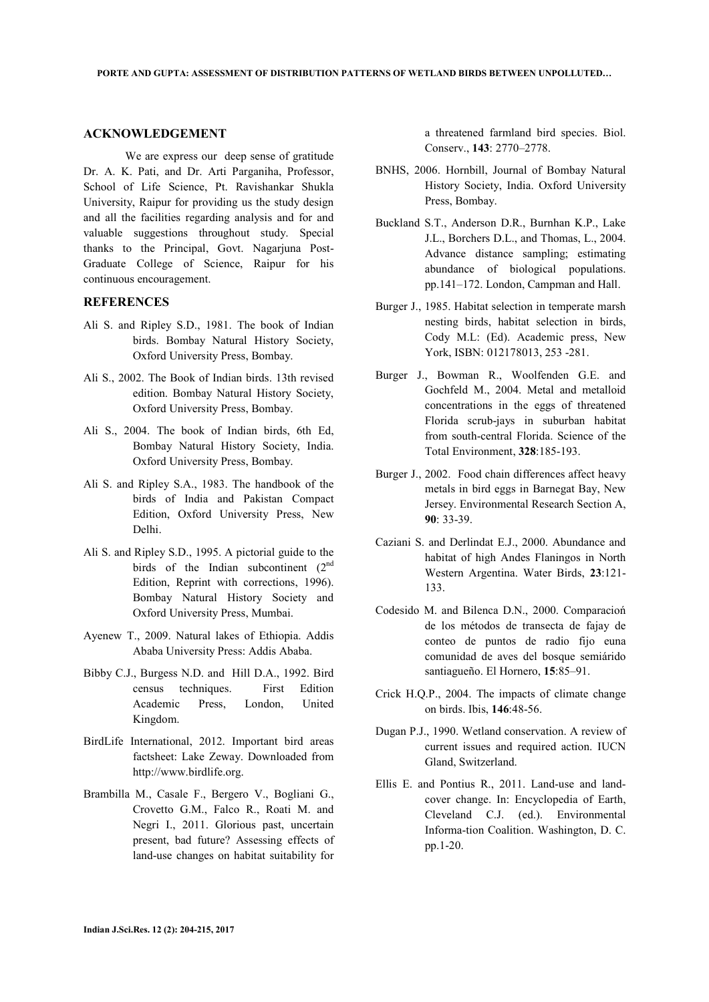## **ACKNOWLEDGEMENT**

 We are express our deep sense of gratitude Dr. A. K. Pati, and Dr. Arti Parganiha, Professor, School of Life Science, Pt. Ravishankar Shukla University, Raipur for providing us the study design and all the facilities regarding analysis and for and valuable suggestions throughout study. Special thanks to the Principal, Govt. Nagarjuna Post-Graduate College of Science, Raipur for his continuous encouragement.

#### **REFERENCES**

- Ali S. and Ripley S.D., 1981. The book of Indian birds. Bombay Natural History Society, Oxford University Press, Bombay.
- Ali S., 2002. The Book of Indian birds. 13th revised edition. Bombay Natural History Society, Oxford University Press, Bombay.
- Ali S., 2004. The book of Indian birds, 6th Ed, Bombay Natural History Society, India. Oxford University Press, Bombay.
- Ali S. and Ripley S.A., 1983. The handbook of the birds of India and Pakistan Compact Edition, Oxford University Press, New Delhi.
- Ali S. and Ripley S.D., 1995. A pictorial guide to the birds of the Indian subcontinent  $(2<sup>nd</sup>$ Edition, Reprint with corrections, 1996). Bombay Natural History Society and Oxford University Press, Mumbai.
- Ayenew T., 2009. Natural lakes of Ethiopia. Addis Ababa University Press: Addis Ababa.
- Bibby C.J., Burgess N.D. and Hill D.A., 1992. Bird census techniques. First Edition Academic Press, London, United Kingdom.
- BirdLife International, 2012. Important bird areas factsheet: Lake Zeway. Downloaded from http://www.birdlife.org.
- Brambilla M., Casale F., Bergero V., Bogliani G., Crovetto G.M., Falco R., Roati M. and Negri I., 2011. Glorious past, uncertain present, bad future? Assessing effects of land-use changes on habitat suitability for

a threatened farmland bird species. Biol. Conserv., **143**: 2770–2778.

- BNHS, 2006. Hornbill, Journal of Bombay Natural History Society, India. Oxford University Press, Bombay.
- Buckland S.T., Anderson D.R., Burnhan K.P., Lake J.L., Borchers D.L., and Thomas, L., 2004. Advance distance sampling; estimating abundance of biological populations. pp.141–172. London, Campman and Hall.
- Burger J., 1985. Habitat selection in temperate marsh nesting birds, habitat selection in birds, Cody M.L: (Ed). Academic press, New York, ISBN: 012178013, 253 -281.
- Burger J., Bowman R., Woolfenden G.E. and Gochfeld M., 2004. Metal and metalloid concentrations in the eggs of threatened Florida scrub-jays in suburban habitat from south-central Florida. Science of the Total Environment, **328**:185-193.
- Burger J., 2002. Food chain differences affect heavy metals in bird eggs in Barnegat Bay, New Jersey. Environmental Research Section A, **90**: 33-39.
- Caziani S. and Derlindat E.J., 2000. Abundance and habitat of high Andes Flaningos in North Western Argentina. Water Birds, **23**:121- 133.
- Codesido M. and Bilenca D.N., 2000. Comparacioń de los métodos de transecta de fajay de conteo de puntos de radio fijo euna comunidad de aves del bosque semiárido santiagueño. El Hornero, **15**:85–91.
- Crick H.Q.P., 2004. The impacts of climate change on birds. Ibis, **146**:48-56.
- Dugan P.J., 1990. Wetland conservation. A review of current issues and required action. IUCN Gland, Switzerland.
- Ellis E. and Pontius R., 2011. Land-use and landcover change. In: Encyclopedia of Earth, Cleveland C.J. (ed.). Environmental Informa-tion Coalition. Washington, D. C. pp.1-20.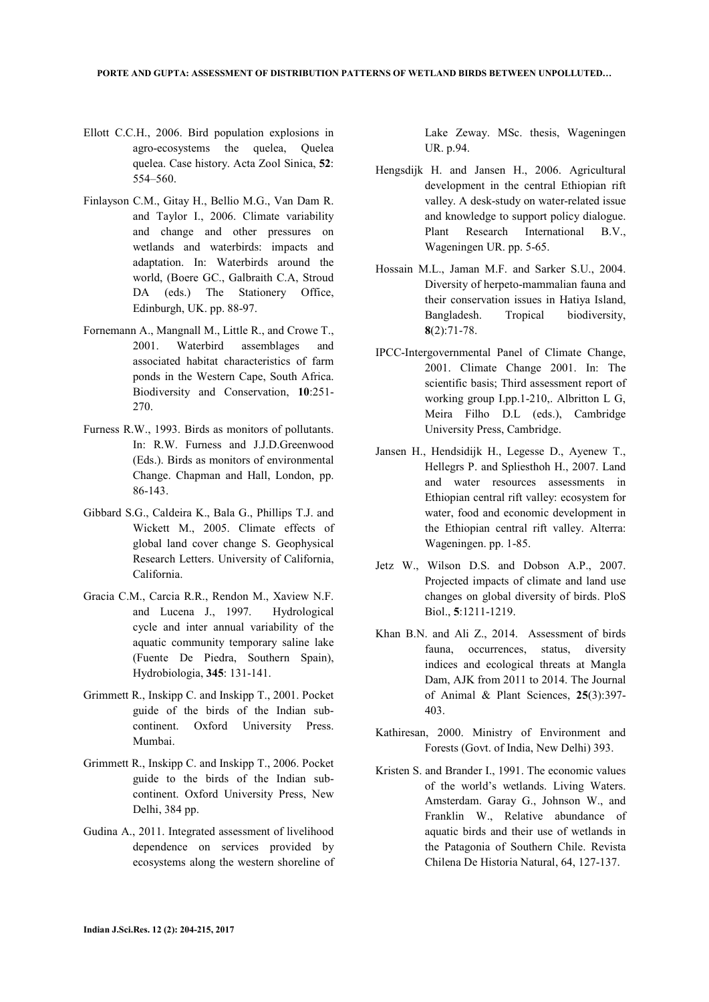- Ellott C.C.H., 2006. Bird population explosions in agro-ecosystems the quelea, Quelea quelea. Case history. Acta Zool Sinica, **52**: 554–560.
- Finlayson C.M., Gitay H., Bellio M.G., Van Dam R. and Taylor I., 2006. Climate variability and change and other pressures on wetlands and waterbirds: impacts and adaptation. In: Waterbirds around the world, (Boere GC., Galbraith C.A, Stroud DA (eds.) The Stationery Office, Edinburgh, UK. pp. 88-97.
- Fornemann A., Mangnall M., Little R., and Crowe T., 2001. Waterbird assemblages and associated habitat characteristics of farm ponds in the Western Cape, South Africa. Biodiversity and Conservation, **10**:251- 270.
- Furness R.W., 1993. Birds as monitors of pollutants. In: R.W. Furness and J.J.D.Greenwood (Eds.). Birds as monitors of environmental Change. Chapman and Hall, London, pp. 86-143.
- Gibbard S.G., Caldeira K., Bala G., Phillips T.J. and Wickett M., 2005. Climate effects of global land cover change S. Geophysical Research Letters. University of California, California.
- Gracia C.M., Carcia R.R., Rendon M., Xaview N.F. and Lucena J., 1997. Hydrological cycle and inter annual variability of the aquatic community temporary saline lake (Fuente De Piedra, Southern Spain), Hydrobiologia, **345**: 131-141.
- Grimmett R., Inskipp C. and Inskipp T., 2001. Pocket guide of the birds of the Indian subcontinent. Oxford University Press. Mumbai.
- Grimmett R., Inskipp C. and Inskipp T., 2006. Pocket guide to the birds of the Indian subcontinent. Oxford University Press, New Delhi, 384 pp.
- Gudina A., 2011. Integrated assessment of livelihood dependence on services provided by ecosystems along the western shoreline of

Lake Zeway. MSc. thesis, Wageningen UR. p.94.

- Hengsdijk H. and Jansen H., 2006. Agricultural development in the central Ethiopian rift valley. A desk-study on water-related issue and knowledge to support policy dialogue. Plant Research International B.V., Wageningen UR. pp. 5-65.
- Hossain M.L., Jaman M.F. and Sarker S.U., 2004. Diversity of herpeto-mammalian fauna and their conservation issues in Hatiya Island, Bangladesh. Tropical biodiversity, **8**(2):71-78.
- IPCC-Intergovernmental Panel of Climate Change, 2001. Climate Change 2001. In: The scientific basis; Third assessment report of working group I.pp.1-210,. Albritton L G, Meira Filho D.L (eds.), Cambridge University Press, Cambridge.
- Jansen H., Hendsidijk H., Legesse D., Ayenew T., Hellegrs P. and Spliesthoh H., 2007. Land and water resources assessments in Ethiopian central rift valley: ecosystem for water, food and economic development in the Ethiopian central rift valley. Alterra: Wageningen. pp. 1-85.
- Jetz W., Wilson D.S. and Dobson A.P., 2007. Projected impacts of climate and land use changes on global diversity of birds. PloS Biol., **5**:1211-1219.
- Khan B.N. and Ali Z., 2014. Assessment of birds fauna, occurrences, status, diversity indices and ecological threats at Mangla Dam, AJK from 2011 to 2014. The Journal of Animal & Plant Sciences, **25**(3):397- 403.
- Kathiresan, 2000. Ministry of Environment and Forests (Govt. of India, New Delhi) 393.
- Kristen S. and Brander I., 1991. The economic values of the world's wetlands. Living Waters. Amsterdam. Garay G., Johnson W., and Franklin W., Relative abundance of aquatic birds and their use of wetlands in the Patagonia of Southern Chile. Revista Chilena De Historia Natural, 64, 127-137.